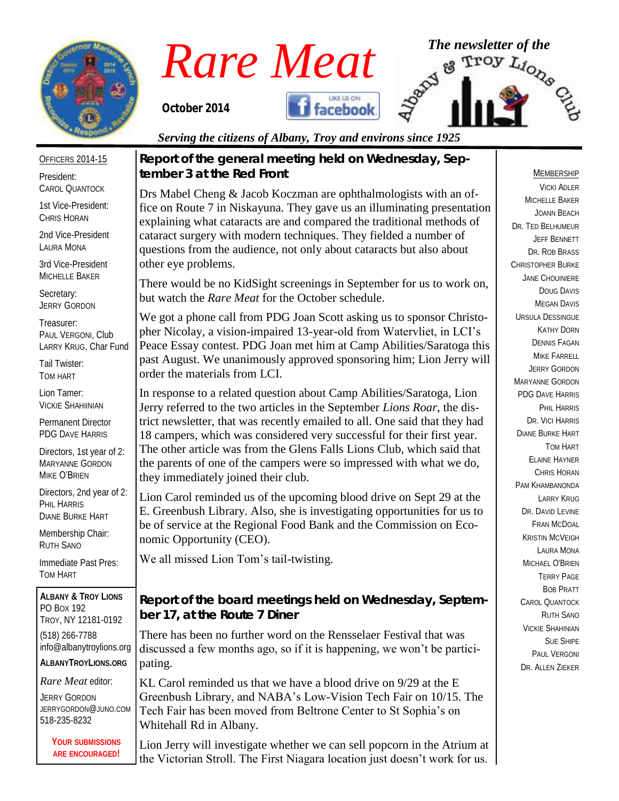

*Rare Meat* The newsletter of the **Rare Meat** of the **Troy**  $L_{i_{O_{\chi_{\mathcal{O}_{\mathcal{C}}}}}}}$ 

*October 2014* 



*Serving the citizens of Albany, Troy and environs since 1925*

OFFICERS 2014-15

President: CAROL QUANTOCK

1st Vice-President: CHRIS HORAN

2nd Vice-President LAURA MONA

3rd Vice-President MICHELLE BAKER

Secretary: JERRY GORDON

Treasurer: PAUL VERGONI, Club LARRY KRUG, Char Fund

Tail Twister: TOM HART

Lion Tamer: VICKIE SHAHIINIAN

Permanent Director PDG DAVE HARRIS

Directors, 1st year of 2: MARYANNE GORDON MIKE O'BRIEN

Directors, 2nd year of 2: PHIL HARRIS DIANE BURKE HART

Membership Chair: RUTH SANO

Immediate Past Pres: TOM HART

**ALBANY & TROY LIONS** PO BOX 192 TROY, NY 12181-0192 (518) 266-7788 info@albanytroylions.org **ALBANYTROYLIONS.ORG**

*Rare Meat* editor:

JERRY GORDON JERRYGORDON@JUNO.COM 518-235-8232

> **YOUR SUBMISSIONS ARE ENCOURAGED!**

*Report of the general meeting held on Wednesday, September 3 at the Red Front*

Drs Mabel Cheng & Jacob Koczman are ophthalmologists with an office on Route 7 in Niskayuna. They gave us an illuminating presentation explaining what cataracts are and compared the traditional methods of cataract surgery with modern techniques. They fielded a number of questions from the audience, not only about cataracts but also about other eye problems.

There would be no KidSight screenings in September for us to work on, but watch the *Rare Meat* for the October schedule.

We got a phone call from PDG Joan Scott asking us to sponsor Christopher Nicolay, a vision-impaired 13-year-old from Watervliet, in LCI's Peace Essay contest. PDG Joan met him at Camp Abilities/Saratoga this past August. We unanimously approved sponsoring him; Lion Jerry will order the materials from LCI.

In response to a related question about Camp Abilities/Saratoga, Lion Jerry referred to the two articles in the September *Lions Roar*, the district newsletter, that was recently emailed to all. One said that they had 18 campers, which was considered very successful for their first year. The other article was from the Glens Falls Lions Club, which said that the parents of one of the campers were so impressed with what we do, they immediately joined their club.

Lion Carol reminded us of the upcoming blood drive on Sept 29 at the E. Greenbush Library. Also, she is investigating opportunities for us to be of service at the Regional Food Bank and the Commission on Economic Opportunity (CEO).

We all missed Lion Tom's tail-twisting.

*Report of the board meetings held on Wednesday, September 17, at the Route 7 Diner* 

There has been no further word on the Rensselaer Festival that was discussed a few months ago, so if it is happening, we won't be participating.

KL Carol reminded us that we have a blood drive on 9/29 at the E Greenbush Library, and NABA's Low-Vision Tech Fair on 10/15. The Tech Fair has been moved from Beltrone Center to St Sophia's on Whitehall Rd in Albany.

Lion Jerry will investigate whether we can sell popcorn in the Atrium at the Victorian Stroll. The First Niagara location just doesn't work for us.

### MEMBERSHIP

VICKI ADLER MICHELLE BAKER JOANN BEACH DR. TED BELHUMEUR JEFF BENNETT DR. ROB BRASS CHRISTOPHER BURKE JANE CHOUINIERE DOUG DAVIS MEGAN DAVIS URSULA DESSINGUE KATHY DORN DENNIS FAGAN MIKE FARRELL JERRY GORDON MARYANNE GORDON PDG DAVE HARRIS PHIL HARRIS DR. VICI HARRIS DIANE BURKE HART TOM HART ELAINE HAYNER CHRIS HORAN PAM KHAMBANONDA LARRY KRUG DR. DAVID LEVINE FRAN MCDOAL KRISTIN MCVEIGH LAURA MONA MICHAEL O'BRIEN TERRY PAGE BOB PRATT CAROL QUANTOCK RUTH SANO VICKIE SHAHINIAN SUE SHIPE PAUL VERGONI DR. ALLEN ZIEKER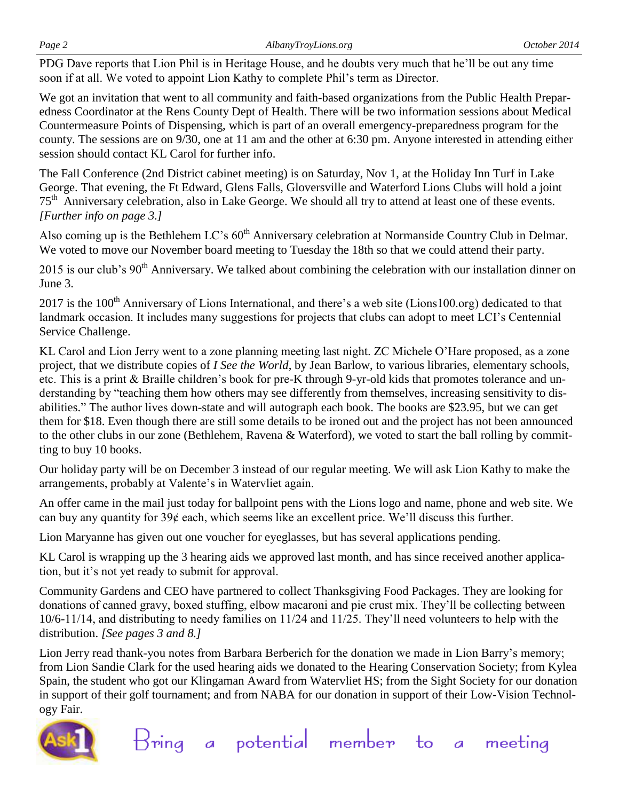PDG Dave reports that Lion Phil is in Heritage House, and he doubts very much that he'll be out any time soon if at all. We voted to appoint Lion Kathy to complete Phil's term as Director.

We got an invitation that went to all community and faith-based organizations from the Public Health Preparedness Coordinator at the Rens County Dept of Health. There will be two information sessions about Medical Countermeasure Points of Dispensing, which is part of an overall emergency-preparedness program for the county. The sessions are on 9/30, one at 11 am and the other at 6:30 pm. Anyone interested in attending either session should contact KL Carol for further info.

The Fall Conference (2nd District cabinet meeting) is on Saturday, Nov 1, at the Holiday Inn Turf in Lake George. That evening, the Ft Edward, Glens Falls, Gloversville and Waterford Lions Clubs will hold a joint 75<sup>th</sup> Anniversary celebration, also in Lake George. We should all try to attend at least one of these events. *[Further info on page 3.]*

Also coming up is the Bethlehem LC's  $60<sup>th</sup>$  Anniversary celebration at Normanside Country Club in Delmar. We voted to move our November board meeting to Tuesday the 18th so that we could attend their party.

2015 is our club's 90<sup>th</sup> Anniversary. We talked about combining the celebration with our installation dinner on June 3.

2017 is the 100<sup>th</sup> Anniversary of Lions International, and there's a web site (Lions100.org) dedicated to that landmark occasion. It includes many suggestions for projects that clubs can adopt to meet LCI's Centennial Service Challenge.

KL Carol and Lion Jerry went to a zone planning meeting last night. ZC Michele O'Hare proposed, as a zone project, that we distribute copies of *I See the World*, by Jean Barlow, to various libraries, elementary schools, etc. This is a print & Braille children's book for pre-K through 9-yr-old kids that promotes tolerance and understanding by "teaching them how others may see differently from themselves, increasing sensitivity to disabilities." The author lives down-state and will autograph each book. The books are \$23.95, but we can get them for \$18. Even though there are still some details to be ironed out and the project has not been announced to the other clubs in our zone (Bethlehem, Ravena & Waterford), we voted to start the ball rolling by committing to buy 10 books.

Our holiday party will be on December 3 instead of our regular meeting. We will ask Lion Kathy to make the arrangements, probably at Valente's in Watervliet again.

An offer came in the mail just today for ballpoint pens with the Lions logo and name, phone and web site. We can buy any quantity for  $39¢$  each, which seems like an excellent price. We'll discuss this further.

Lion Maryanne has given out one voucher for eyeglasses, but has several applications pending.

KL Carol is wrapping up the 3 hearing aids we approved last month, and has since received another application, but it's not yet ready to submit for approval.

Community Gardens and CEO have partnered to collect Thanksgiving Food Packages. They are looking for donations of canned gravy, boxed stuffing, elbow macaroni and pie crust mix. They'll be collecting between 10/6-11/14, and distributing to needy families on 11/24 and 11/25. They'll need volunteers to help with the distribution. *[See pages 3 and 8.]*

Lion Jerry read thank-you notes from Barbara Berberich for the donation we made in Lion Barry's memory; from Lion Sandie Clark for the used hearing aids we donated to the Hearing Conservation Society; from Kylea Spain, the student who got our Klingaman Award from Watervliet HS; from the Sight Society for our donation in support of their golf tournament; and from NABA for our donation in support of their Low-Vision Technology Fair.

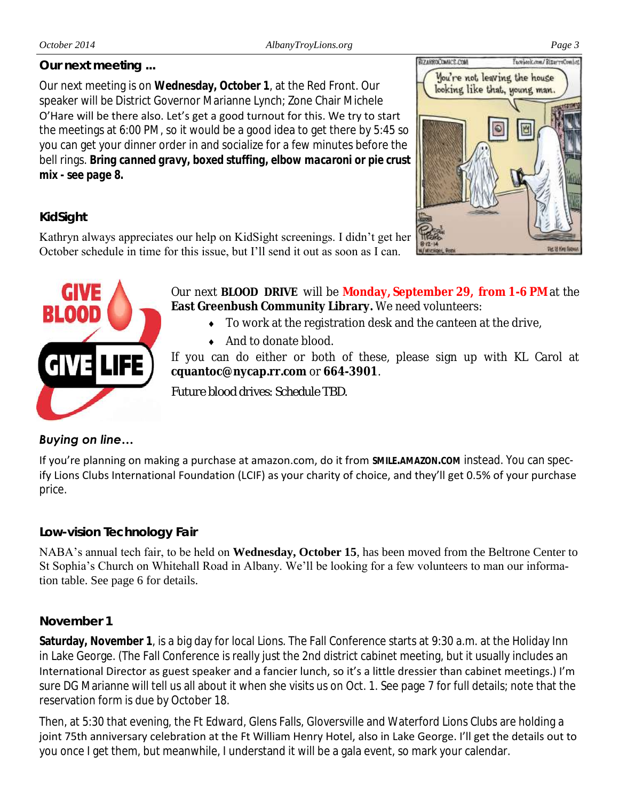# *Our next meeting ...*

Our next meeting is on **Wednesday, October 1**, at the Red Front. Our speaker will be District Governor Marianne Lynch; Zone Chair Michele O'Hare will be there also. Let's get a good turnout for this. We try to start the meetings at 6:00 PM, so it would be a good idea to get there by 5:45 so you can get your dinner order in and socialize for a few minutes before the bell rings. *Bring canned gravy, boxed stuffing, elbow macaroni or pie crust mix - see page 8.*



# *KidSight*

Kathryn always appreciates our help on KidSight screenings. I didn't get her October schedule in time for this issue, but I'll send it out as soon as I can.



Our next **BLOOD DRIVE** will be **Monday, September 29, from 1-6 PM** at the **East Greenbush Community Library.** We need volunteers:

- To work at the registration desk and the canteen at the drive,
- ◆ And to donate blood.

If you can do either or both of these, please sign up with KL Carol at **cquantoc@nycap.rr.com** or **664-3901**.

*Future blood drives: Schedule TBD.*

# *Buying on line…*

If you're planning on making a purchase at amazon.com, do it from **SMILE.AMAZON.COM** instead. You can specify Lions Clubs International Foundation (LCIF) as your charity of choice, and they'll get 0.5% of your purchase price.

# *Low-vision Technology Fair*

NABA's annual tech fair, to be held on **Wednesday, October 15**, has been moved from the Beltrone Center to St Sophia's Church on Whitehall Road in Albany. We'll be looking for a few volunteers to man our information table. See page 6 for details.

# *November 1*

**Saturday, November 1**, is a big day for local Lions. The Fall Conference starts at 9:30 a.m. at the Holiday Inn in Lake George. (The Fall Conference is really just the 2nd district cabinet meeting, but it usually includes an International Director as guest speaker and a fancier lunch, so it's a little dressier than cabinet meetings.) I'm sure DG Marianne will tell us all about it when she visits us on Oct. 1. See page 7 for full details; note that the reservation form is due by October 18.

Then, at 5:30 that evening, the Ft Edward, Glens Falls, Gloversville and Waterford Lions Clubs are holding a joint 75th anniversary celebration at the Ft William Henry Hotel, also in Lake George. I'll get the details out to you once I get them, but meanwhile, I understand it will be a gala event, so mark your calendar.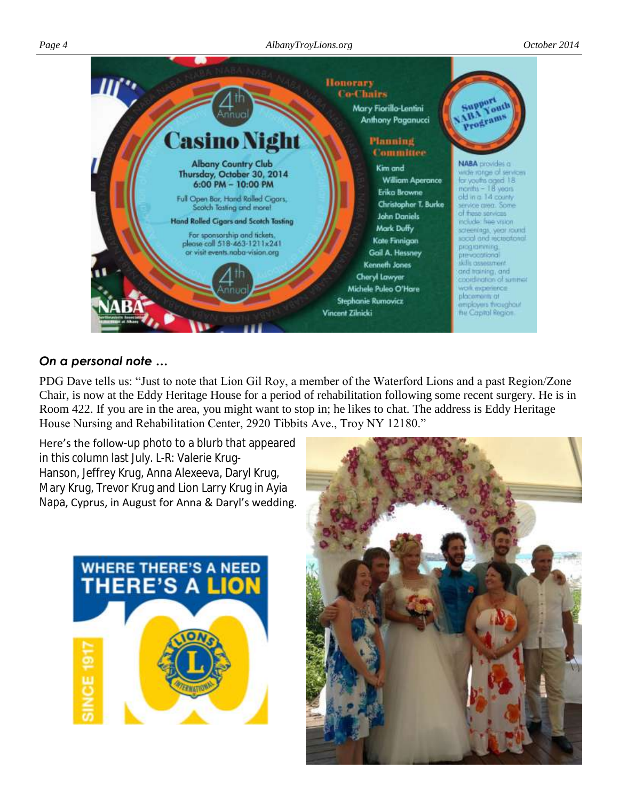

# *On a personal note …*

PDG Dave tells us: "Just to note that Lion Gil Roy, a member of the Waterford Lions and a past Region/Zone Chair, is now at the Eddy Heritage House for a period of rehabilitation following some recent surgery. He is in Room 422. If you are in the area, you might want to stop in; he likes to chat. The address is Eddy Heritage House Nursing and Rehabilitation Center, 2920 Tibbits Ave., Troy NY 12180."

Here's the follow-up photo to a blurb that appeared in this column last July. L-R: [Valerie Krug-](https://www.facebook.com/valerie.krughanson)[Hanson,](https://www.facebook.com/valerie.krughanson) [Jeffrey Krug,](https://www.facebook.com/jeffrey.krug.56) [Anna Alexeeva,](https://www.facebook.com/anna.alexeevaa?fref=photo) [Daryl Krug,](https://www.facebook.com/daryl.krug.1) [Mary Krug,](https://www.facebook.com/mary.krug.161) [Trevor Krug](https://www.facebook.com/vonkrug) and Lion [Larry Krug](https://www.facebook.com/larry.krug.98) in [Ayia](https://www.facebook.com/pages/Ayia-Napa/112041205479862)  [Napa,](https://www.facebook.com/pages/Ayia-Napa/112041205479862) Cyprus, in August for Anna & Daryl's wedding.



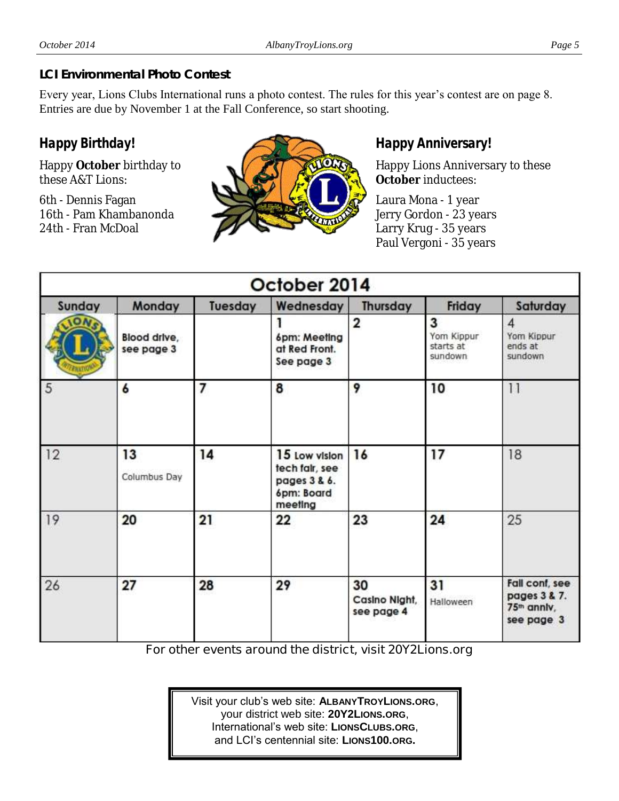# *LCI Environmental Photo Contest*

Every year, Lions Clubs International runs a photo contest. The rules for this year's contest are on page 8. Entries are due by November 1 at the Fall Conference, so start shooting.

# *Happy Birthday!*

Happy **October** birthday to these A&T Lions:

6th - Dennis Fagan 16th - Pam Khambanonda 24th - Fran McDoal



# *Happy Anniversary!*

Happy Lions Anniversary to these **October** inductees:

Laura Mona - 1 year Jerry Gordon - 23 years Larry Krug - 35 years Paul Vergoni - 35 years

| October 2014 |                            |         |                                                                          |                                   |                                         |                                                                         |  |
|--------------|----------------------------|---------|--------------------------------------------------------------------------|-----------------------------------|-----------------------------------------|-------------------------------------------------------------------------|--|
| Sunday       | Monday                     | Tuesday | Wednesday                                                                | Thursday                          | Friday                                  | Saturday                                                                |  |
|              | Blood drive,<br>see page 3 |         | 6pm: Meeting<br>at Red Front.<br>See page 3                              | 2                                 | 3<br>Yom Kippur<br>starts at<br>sundown | $\overline{4}$<br>Yom Kippur<br>ends at<br>sundown                      |  |
| 5            | 6                          | 7       | 8                                                                        | 9                                 | 10                                      | $\frac{1}{2}$                                                           |  |
| 12           | 13<br>Columbus Day         | 14      | 15 Low vision<br>tech fair, see<br>pages 3 & 6.<br>6pm: Board<br>meeting | 16                                | 17                                      | 18                                                                      |  |
| 19           | 20                         | 21      | 22                                                                       | 23                                | 24                                      | 25                                                                      |  |
| 26           | 27                         | 28      | 29                                                                       | 30<br>Casino Night,<br>see page 4 | 31<br>Halloween                         | Fall cont, see<br>pages 3 & 7.<br>75 <sup>th</sup> annly,<br>see page 3 |  |

**For other events around the district, visit 20Y2Lions.org**

Visit your club's web site: **ALBANYTROYLIONS.ORG**, your district web site: **20Y2LIONS.ORG**, International's web site: **LIONSCLUBS.ORG**, and LCI's centennial site: **LIONS100.ORG.**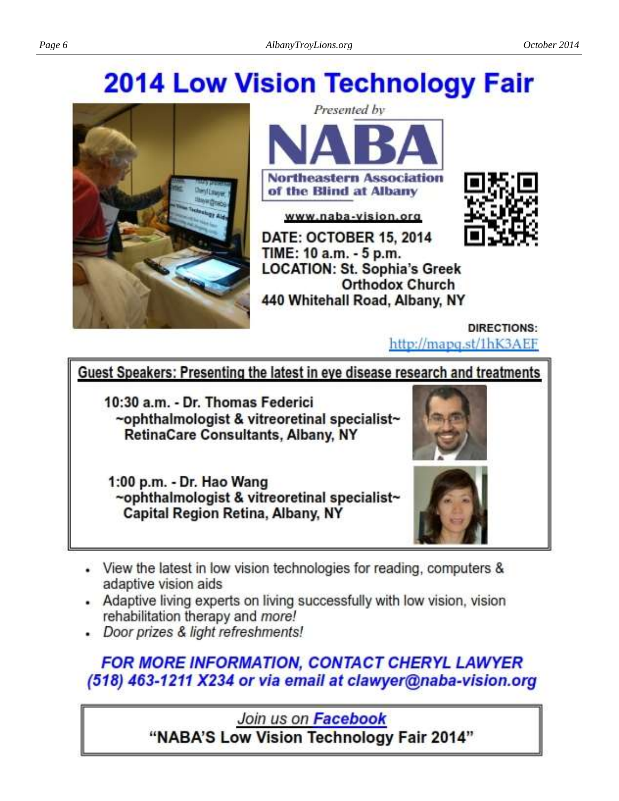# **2014 Low Vision Technology Fair**



**Northeastern Association** of the Blind at Albany

Presented by

www.naba-vision.org

DATE: OCTOBER 15, 2014 TIME: 10 a.m. - 5 p.m. **LOCATION: St. Sophia's Greek Orthodox Church** 440 Whitehall Road, Albany, NY



DIRECTIONS: http://mapq.st/1hK3AEF

# Guest Speakers: Presenting the latest in eye disease research and treatments

10:30 a.m. - Dr. Thomas Federici ~ophthalmologist & vitreoretinal specialist~ **RetinaCare Consultants, Albany, NY** 

1:00 p.m. - Dr. Hao Wang ~ophthalmologist & vitreoretinal specialist~ **Capital Region Retina, Albany, NY** 



- View the latest in low vision technologies for reading, computers & adaptive vision aids
- Adaptive living experts on living successfully with low vision, vision rehabilitation therapy and more!
- Door prizes & light refreshments!

**FOR MORE INFORMATION, CONTACT CHERYL LAWYER** (518) 463-1211 X234 or via email at clawyer@naba-vision.org

> Join us on Facebook "NABA'S Low Vision Technology Fair 2014"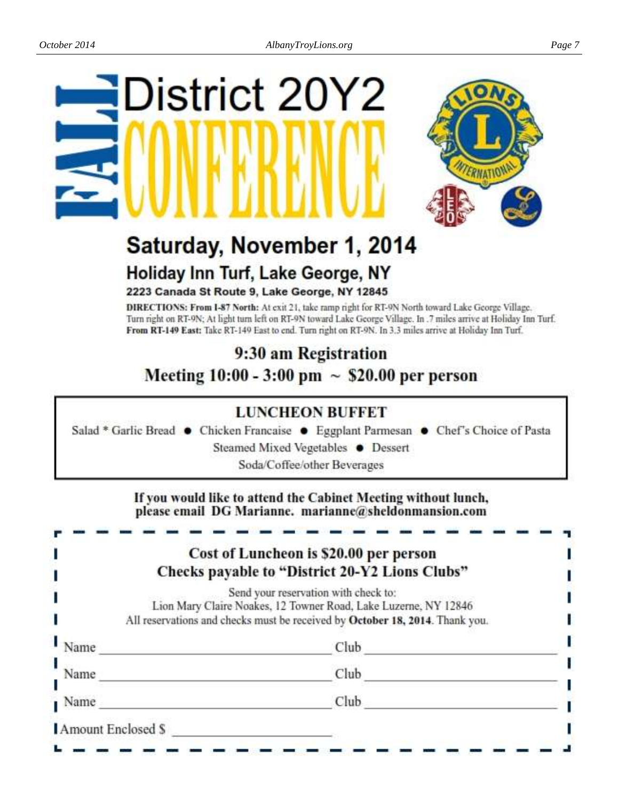# **District 20Y2**



# Saturday, November 1, 2014 Holiday Inn Turf, Lake George, NY

2223 Canada St Route 9, Lake George, NY 12845

DIRECTIONS: From I-87 North: At exit 21, take ramp right for RT-9N North toward Lake George Village. Turn right on RT-9N; At light turn left on RT-9N toward Lake George Village. In .7 miles arrive at Holiday Inn Turf. From RT-149 East: Take RT-149 East to end. Turn right on RT-9N. In 3.3 miles arrive at Holiday Inn Turf.

# 9:30 am Registration Meeting 10:00 - 3:00 pm  $\sim$  \$20.00 per person

# **LUNCHEON BUFFET**

Salad \* Garlic Bread • Chicken Francaise • Eggplant Parmesan • Chef's Choice of Pasta

Steamed Mixed Vegetables ● Dessert

Soda/Coffee/other Beverages

If you would like to attend the Cabinet Meeting without lunch, please email DG Marianne. marianne@sheldonmansion.com

# Cost of Luncheon is \$20.00 per person Checks payable to "District 20-Y2 Lions Clubs"

Send your reservation with check to: Lion Mary Claire Noakes, 12 Towner Road, Lake Luzerne, NY 12846 All reservations and checks must be received by October 18, 2014. Thank you.

| Name               | <b>STATISTICS</b><br>Club |  |
|--------------------|---------------------------|--|
| Name               | Club                      |  |
| Name               | Club                      |  |
| Amount Enclosed \$ |                           |  |